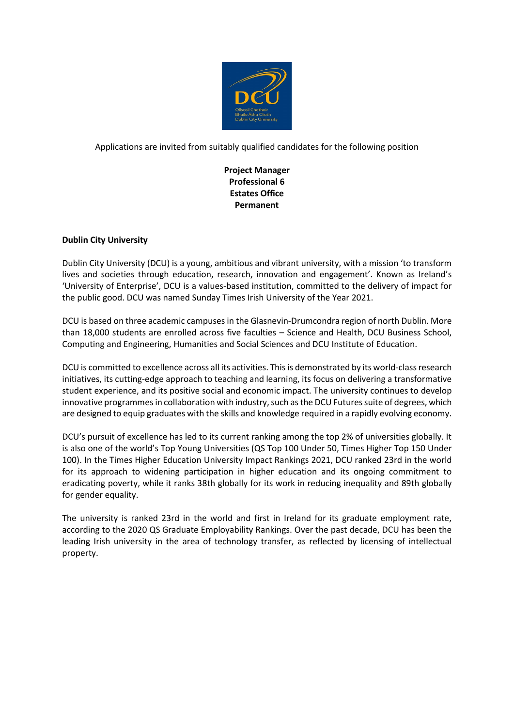

Applications are invited from suitably qualified candidates for the following position

**Project Manager Professional 6 Estates Office Permanent**

# **Dublin City University**

Dublin City University (DCU) is a young, ambitious and vibrant university, with a mission 'to transform lives and societies through education, research, innovation and engagement'. Known as Ireland's 'University of Enterprise', DCU is a values-based institution, committed to the delivery of impact for the public good. DCU was named Sunday Times Irish University of the Year 2021.

DCU is based on three academic campuses in the Glasnevin-Drumcondra region of north Dublin. More than 18,000 students are enrolled across five faculties – Science and Health, DCU Business School, Computing and Engineering, Humanities and Social Sciences and DCU Institute of Education.

DCU is committed to excellence across all its activities. This is demonstrated by its world-class research initiatives, its cutting-edge approach to teaching and learning, its focus on delivering a transformative student experience, and its positive social and economic impact. The university continues to develop innovative programmes in collaboration with industry, such as the DCU Futures suite of degrees, which are designed to equip graduates with the skills and knowledge required in a rapidly evolving economy.

DCU's pursuit of excellence has led to its current ranking among the top 2% of universities globally. It is also one of the world's Top Young Universities (QS Top 100 Under 50, Times Higher Top 150 Under 100). In the Times Higher Education University Impact Rankings 2021, DCU ranked 23rd in the world for its approach to widening participation in higher education and its ongoing commitment to eradicating poverty, while it ranks 38th globally for its work in reducing inequality and 89th globally for gender equality.

The university is ranked 23rd in the world and first in Ireland for its graduate employment rate, according to the 2020 QS Graduate Employability Rankings. Over the past decade, DCU has been the leading Irish university in the area of technology transfer, as reflected by licensing of intellectual property.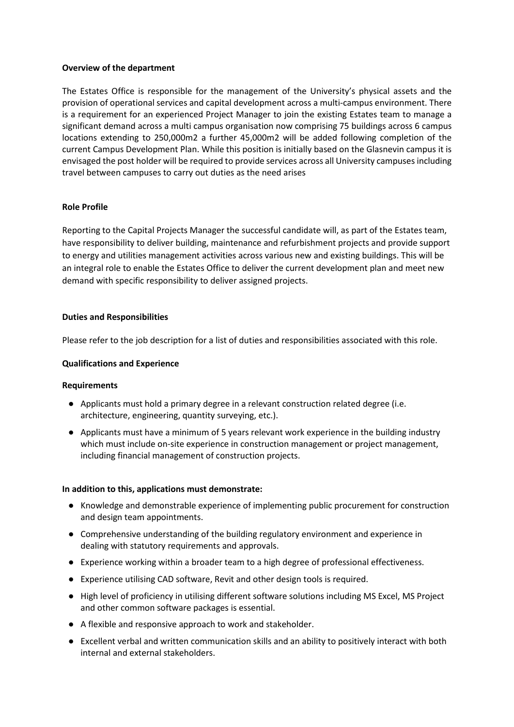### **Overview of the department**

The Estates Office is responsible for the management of the University's physical assets and the provision of operational services and capital development across a multi-campus environment. There is a requirement for an experienced Project Manager to join the existing Estates team to manage a significant demand across a multi campus organisation now comprising 75 buildings across 6 campus locations extending to 250,000m2 a further 45,000m2 will be added following completion of the current Campus Development Plan. While this position is initially based on the Glasnevin campus it is envisaged the post holder will be required to provide services across all University campuses including travel between campuses to carry out duties as the need arises

## **Role Profile**

Reporting to the Capital Projects Manager the successful candidate will, as part of the Estates team, have responsibility to deliver building, maintenance and refurbishment projects and provide support to energy and utilities management activities across various new and existing buildings. This will be an integral role to enable the Estates Office to deliver the current development plan and meet new demand with specific responsibility to deliver assigned projects.

## **Duties and Responsibilities**

Please refer to the job description for a list of duties and responsibilities associated with this role.

## **Qualifications and Experience**

### **Requirements**

- Applicants must hold a primary degree in a relevant construction related degree (i.e. architecture, engineering, quantity surveying, etc.).
- Applicants must have a minimum of 5 years relevant work experience in the building industry which must include on-site experience in construction management or project management, including financial management of construction projects.

### **In addition to this, applications must demonstrate:**

- Knowledge and demonstrable experience of implementing public procurement for construction and design team appointments.
- Comprehensive understanding of the building regulatory environment and experience in dealing with statutory requirements and approvals.
- Experience working within a broader team to a high degree of professional effectiveness.
- Experience utilising CAD software, Revit and other design tools is required.
- High level of proficiency in utilising different software solutions including MS Excel, MS Project and other common software packages is essential.
- A flexible and responsive approach to work and stakeholder.
- Excellent verbal and written communication skills and an ability to positively interact with both internal and external stakeholders.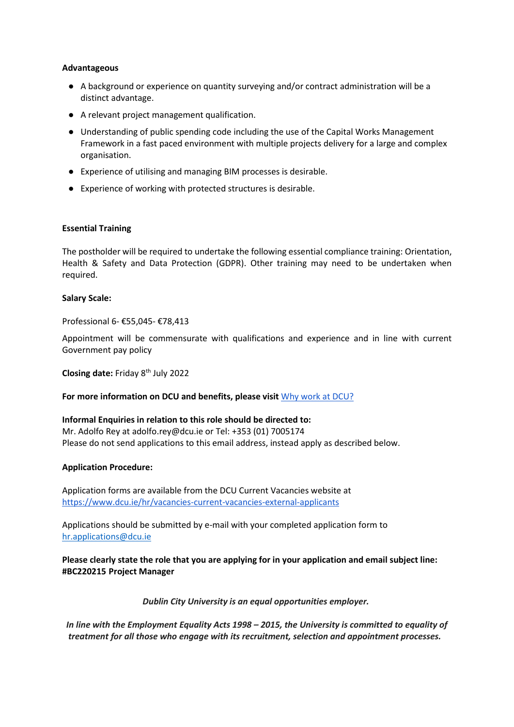### **Advantageous**

- A background or experience on quantity surveying and/or contract administration will be a distinct advantage.
- A relevant project management qualification.
- Understanding of public spending code including the use of the Capital Works Management Framework in a fast paced environment with multiple projects delivery for a large and complex organisation.
- Experience of utilising and managing BIM processes is desirable.
- Experience of working with protected structures is desirable.

### **Essential Training**

The postholder will be required to undertake the following essential compliance training: Orientation, Health & Safety and Data Protection (GDPR). Other training may need to be undertaken when required.

#### **Salary Scale:**

Professional 6- €55,045- €78,413

Appointment will be commensurate with qualifications and experience and in line with current Government pay policy

**Closing date: Friday 8<sup>th</sup> July 2022** 

### **For more information on DCU and benefits, please visit** [Why work at DCU?](https://www.dcu.ie/hr/why-work-dcu)

### **Informal Enquiries in relation to this role should be directed to:**

Mr. Adolfo Rey at adolfo.rey@dcu.ie or Tel: +353 (01) 7005174 Please do not send applications to this email address, instead apply as described below.

### **Application Procedure:**

Application forms are available from the DCU Current Vacancies website at <https://www.dcu.ie/hr/vacancies-current-vacancies-external-applicants>

Applications should be submitted by e-mail with your completed application form to [hr.applications@dcu.ie](mailto:hr.applications@dcu.ie) 

**Please clearly state the role that you are applying for in your application and email subject line: #BC220215 Project Manager**

*Dublin City University is an equal opportunities employer.*

*In line with the Employment Equality Acts 1998 – 2015, the University is committed to equality of treatment for all those who engage with its recruitment, selection and appointment processes.*